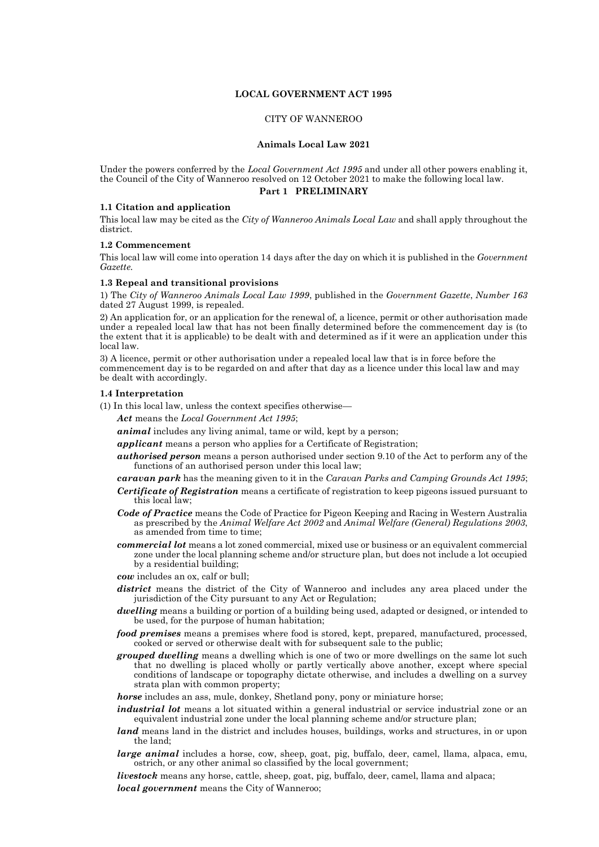# **LOCAL GOVERNMENT ACT 1995**

# CITY OF WANNEROO

#### **Animals Local Law 2021**

Under the powers conferred by the *Local Government Act 1995* and under all other powers enabling it, the Council of the City of Wanneroo resolved on 12 October 2021 to make the following local law.

### **Part 1 PRELIMINARY**

#### **1.1 Citation and application**

This local law may be cited as the *City of Wanneroo Animals Local Law* and shall apply throughout the district.

#### **1.2 Commencement**

This local law will come into operation 14 days after the day on which it is published in the *Government Gazette.*

### **1.3 Repeal and transitional provisions**

1) The *City of Wanneroo Animals Local Law 1999*, published in the *Government Gazette*, *Number 163* dated 27 August 1999, is repealed.

2) An application for, or an application for the renewal of, a licence, permit or other authorisation made under a repealed local law that has not been finally determined before the commencement day is (to the extent that it is applicable) to be dealt with and determined as if it were an application under this local law.

3) A licence, permit or other authorisation under a repealed local law that is in force before the commencement day is to be regarded on and after that day as a licence under this local law and may be dealt with accordingly.

#### **1.4 Interpretation**

(1) In this local law, unless the context specifies otherwise—

*Act* means the *Local Government Act 1995*;

*animal* includes any living animal, tame or wild, kept by a person;

*applicant* means a person who applies for a Certificate of Registration;

*authorised person* means a person authorised under section 9.10 of the Act to perform any of the functions of an authorised person under this local law;

*caravan park* has the meaning given to it in the *Caravan Parks and Camping Grounds Act 1995*;

- *Certificate of Registration* means a certificate of registration to keep pigeons issued pursuant to this local law;
- *Code of Practice* means the Code of Practice for Pigeon Keeping and Racing in Western Australia as prescribed by the *Animal Welfare Act 2002* and *Animal Welfare (General) Regulations 2003*, as amended from time to time;
- *commercial lot* means a lot zoned commercial, mixed use or business or an equivalent commercial zone under the local planning scheme and/or structure plan, but does not include a lot occupied by a residential building;

*cow* includes an ox, calf or bull;

- *district* means the district of the City of Wanneroo and includes any area placed under the jurisdiction of the City pursuant to any Act or Regulation;
- *dwelling* means a building or portion of a building being used, adapted or designed, or intended to be used, for the purpose of human habitation;
- *food premises* means a premises where food is stored, kept, prepared, manufactured, processed, cooked or served or otherwise dealt with for subsequent sale to the public;
- *grouped dwelling* means a dwelling which is one of two or more dwellings on the same lot such that no dwelling is placed wholly or partly vertically above another, except where special conditions of landscape or topography dictate otherwise, and includes a dwelling on a survey strata plan with common property;
- *horse* includes an ass, mule, donkey, Shetland pony, pony or miniature horse;
- *industrial lot* means a lot situated within a general industrial or service industrial zone or an equivalent industrial zone under the local planning scheme and/or structure plan;
- *land* means land in the district and includes houses, buildings, works and structures, in or upon the land;
- *large animal* includes a horse, cow, sheep, goat, pig, buffalo, deer, camel, llama, alpaca, emu, ostrich, or any other animal so classified by the local government;

*livestock* means any horse, cattle, sheep, goat, pig, buffalo, deer, camel, llama and alpaca; *local government* means the City of Wanneroo;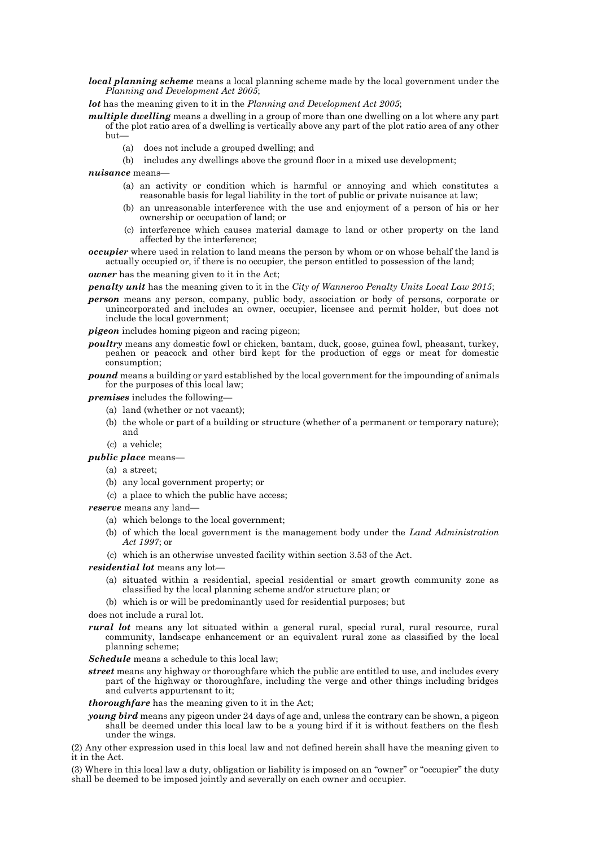*local planning scheme* means a local planning scheme made by the local government under the *Planning and Development Act 2005*;

*lot* has the meaning given to it in the *Planning and Development Act 2005*;

- *multiple dwelling* means a dwelling in a group of more than one dwelling on a lot where any part of the plot ratio area of a dwelling is vertically above any part of the plot ratio area of any other but—
	- (a) does not include a grouped dwelling; and
	- (b) includes any dwellings above the ground floor in a mixed use development;

*nuisance* means—

- (a) an activity or condition which is harmful or annoying and which constitutes a reasonable basis for legal liability in the tort of public or private nuisance at law;
- (b) an unreasonable interference with the use and enjoyment of a person of his or her ownership or occupation of land; or
- (c) interference which causes material damage to land or other property on the land affected by the interference;
- *occupier* where used in relation to land means the person by whom or on whose behalf the land is actually occupied or, if there is no occupier, the person entitled to possession of the land;

*owner* has the meaning given to it in the Act;

*penalty unit* has the meaning given to it in the *City of Wanneroo Penalty Units Local Law 2015*;

*person* means any person, company, public body, association or body of persons, corporate or unincorporated and includes an owner, occupier, licensee and permit holder, but does not include the local government;

*pigeon* includes homing pigeon and racing pigeon;

- *poultry* means any domestic fowl or chicken, bantam, duck, goose, guinea fowl, pheasant, turkey, peahen or peacock and other bird kept for the production of eggs or meat for domestic consumption;
- *pound* means a building or yard established by the local government for the impounding of animals for the purposes of this local law;

*premises* includes the following—

- (a) land (whether or not vacant);
- (b) the whole or part of a building or structure (whether of a permanent or temporary nature); and
- (c) a vehicle;
- *public place* means—
	- (a) a street;
	- (b) any local government property; or
	- (c) a place to which the public have access;

*reserve* means any land—

- (a) which belongs to the local government;
- (b) of which the local government is the management body under the *Land Administration Act 1997*; or
- (c) which is an otherwise unvested facility within section 3.53 of the Act.

*residential lot* means any lot—

- (a) situated within a residential, special residential or smart growth community zone as classified by the local planning scheme and/or structure plan; or
- (b) which is or will be predominantly used for residential purposes; but
- does not include a rural lot.
- *rural lot* means any lot situated within a general rural, special rural, rural resource, rural community, landscape enhancement or an equivalent rural zone as classified by the local planning scheme;

*Schedule* means a schedule to this local law;

*street* means any highway or thoroughfare which the public are entitled to use, and includes every part of the highway or thoroughfare, including the verge and other things including bridges and culverts appurtenant to it;

*thoroughfare* has the meaning given to it in the Act;

*young bird* means any pigeon under 24 days of age and, unless the contrary can be shown, a pigeon shall be deemed under this local law to be a young bird if it is without feathers on the flesh under the wings.

(2) Any other expression used in this local law and not defined herein shall have the meaning given to it in the Act.

(3) Where in this local law a duty, obligation or liability is imposed on an "owner" or "occupier" the duty shall be deemed to be imposed jointly and severally on each owner and occupier.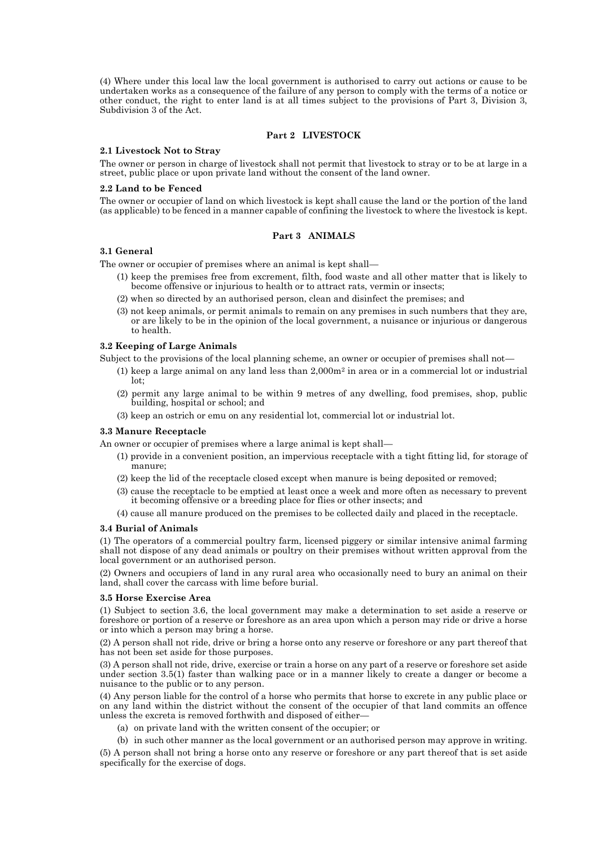(4) Where under this local law the local government is authorised to carry out actions or cause to be undertaken works as a consequence of the failure of any person to comply with the terms of a notice or other conduct, the right to enter land is at all times subject to the provisions of Part 3, Division 3, Subdivision 3 of the Act.

### **Part 2 LIVESTOCK**

#### **2.1 Livestock Not to Stray**

The owner or person in charge of livestock shall not permit that livestock to stray or to be at large in a street, public place or upon private land without the consent of the land owner.

### **2.2 Land to be Fenced**

The owner or occupier of land on which livestock is kept shall cause the land or the portion of the land (as applicable) to be fenced in a manner capable of confining the livestock to where the livestock is kept.

# **Part 3 ANIMALS**

### **3.1 General**

The owner or occupier of premises where an animal is kept shall—

- (1) keep the premises free from excrement, filth, food waste and all other matter that is likely to become offensive or injurious to health or to attract rats, vermin or insects;
- (2) when so directed by an authorised person, clean and disinfect the premises; and
- (3) not keep animals, or permit animals to remain on any premises in such numbers that they are, or are likely to be in the opinion of the local government, a nuisance or injurious or dangerous to health.

#### **3.2 Keeping of Large Animals**

Subject to the provisions of the local planning scheme, an owner or occupier of premises shall not—

- (1) keep a large animal on any land less than  $2,000m^2$  in area or in a commercial lot or industrial lot;
- (2) permit any large animal to be within 9 metres of any dwelling, food premises, shop, public building, hospital or school; and
- (3) keep an ostrich or emu on any residential lot, commercial lot or industrial lot.

#### **3.3 Manure Receptacle**

An owner or occupier of premises where a large animal is kept shall—

- (1) provide in a convenient position, an impervious receptacle with a tight fitting lid, for storage of manure;
- (2) keep the lid of the receptacle closed except when manure is being deposited or removed;
- (3) cause the receptacle to be emptied at least once a week and more often as necessary to prevent it becoming offensive or a breeding place for flies or other insects; and
- (4) cause all manure produced on the premises to be collected daily and placed in the receptacle.

### **3.4 Burial of Animals**

(1) The operators of a commercial poultry farm, licensed piggery or similar intensive animal farming shall not dispose of any dead animals or poultry on their premises without written approval from the local government or an authorised person.

(2) Owners and occupiers of land in any rural area who occasionally need to bury an animal on their land, shall cover the carcass with lime before burial.

#### **3.5 Horse Exercise Area**

(1) Subject to section 3.6, the local government may make a determination to set aside a reserve or foreshore or portion of a reserve or foreshore as an area upon which a person may ride or drive a horse or into which a person may bring a horse.

(2) A person shall not ride, drive or bring a horse onto any reserve or foreshore or any part thereof that has not been set aside for those purposes.

(3) A person shall not ride, drive, exercise or train a horse on any part of a reserve or foreshore set aside under section 3.5(1) faster than walking pace or in a manner likely to create a danger or become a nuisance to the public or to any person.

(4) Any person liable for the control of a horse who permits that horse to excrete in any public place or on any land within the district without the consent of the occupier of that land commits an offence unless the excreta is removed forthwith and disposed of either—

(a) on private land with the written consent of the occupier; or

(b) in such other manner as the local government or an authorised person may approve in writing. (5) A person shall not bring a horse onto any reserve or foreshore or any part thereof that is set aside specifically for the exercise of dogs.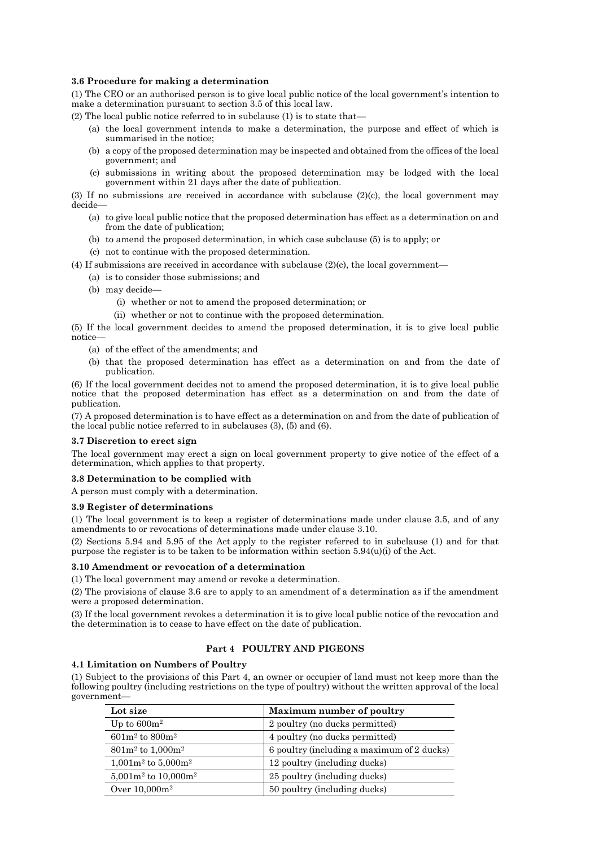# **3.6 Procedure for making a determination**

(1) The CEO or an authorised person is to give local public notice of the local government's intention to make a determination pursuant to section 3.5 of this local law.

(2) The local public notice referred to in subclause (1) is to state that—

- (a) the local government intends to make a determination, the purpose and effect of which is summarised in the notice;
- (b) a copy of the proposed determination may be inspected and obtained from the offices of the local government; and
- (c) submissions in writing about the proposed determination may be lodged with the local government within 21 days after the date of publication.

(3) If no submissions are received in accordance with subclause (2)(c), the local government may decide—

- (a) to give local public notice that the proposed determination has effect as a determination on and from the date of publication;
- (b) to amend the proposed determination, in which case subclause (5) is to apply; or
- (c) not to continue with the proposed determination.

(4) If submissions are received in accordance with subclause  $(2)(c)$ , the local government—

- (a) is to consider those submissions; and
- (b) may decide—
	- (i) whether or not to amend the proposed determination; or
	- (ii) whether or not to continue with the proposed determination.

(5) If the local government decides to amend the proposed determination, it is to give local public notice—

- (a) of the effect of the amendments; and
- (b) that the proposed determination has effect as a determination on and from the date of publication.

(6) If the local government decides not to amend the proposed determination, it is to give local public notice that the proposed determination has effect as a determination on and from the date of publication.

(7) A proposed determination is to have effect as a determination on and from the date of publication of the local public notice referred to in subclauses (3), (5) and (6).

### **3.7 Discretion to erect sign**

The local government may erect a sign on local government property to give notice of the effect of a determination, which applies to that property.

# **3.8 Determination to be complied with**

A person must comply with a determination.

### **3.9 Register of determinations**

(1) The local government is to keep a register of determinations made under clause 3.5, and of any amendments to or revocations of determinations made under clause 3.10.

(2) Sections 5.94 and 5.95 of the Act apply to the register referred to in subclause (1) and for that purpose the register is to be taken to be information within section  $5.94(u)(i)$  of the Act.

# **3.10 Amendment or revocation of a determination**

(1) The local government may amend or revoke a determination.

(2) The provisions of clause 3.6 are to apply to an amendment of a determination as if the amendment were a proposed determination.

(3) If the local government revokes a determination it is to give local public notice of the revocation and the determination is to cease to have effect on the date of publication.

# **Part 4 POULTRY AND PIGEONS**

### **4.1 Limitation on Numbers of Poultry**

(1) Subject to the provisions of this Part 4, an owner or occupier of land must not keep more than the following poultry (including restrictions on the type of poultry) without the written approval of the local government—

| Lot size                  | <b>Maximum number of poultry</b>           |
|---------------------------|--------------------------------------------|
| Up to $600m^2$            | 2 poultry (no ducks permitted)             |
| $601m^2$ to $800m^2$      | 4 poultry (no ducks permitted)             |
| $801m^2$ to $1,000m^2$    | 6 poultry (including a maximum of 2 ducks) |
| $1,001m^2$ to $5,000m^2$  | 12 poultry (including ducks)               |
| $5,001m^2$ to $10,000m^2$ | 25 poultry (including ducks)               |
| Over $10,000m^2$          | 50 poultry (including ducks)               |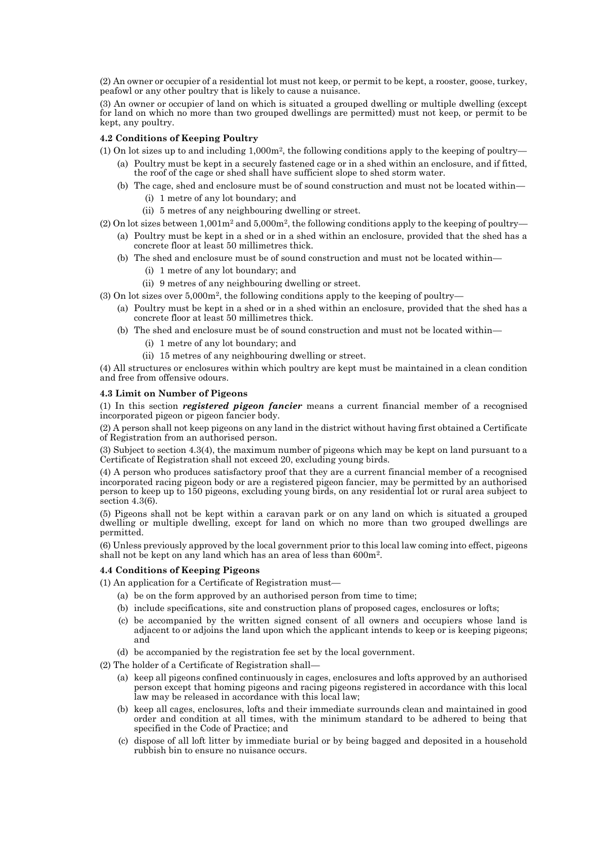(2) An owner or occupier of a residential lot must not keep, or permit to be kept, a rooster, goose, turkey, peafowl or any other poultry that is likely to cause a nuisance.

(3) An owner or occupier of land on which is situated a grouped dwelling or multiple dwelling (except for land on which no more than two grouped dwellings are permitted) must not keep, or permit to be kept, any poultry.

# **4.2 Conditions of Keeping Poultry**

- (1) On lot sizes up to and including  $1,000m^2$ , the following conditions apply to the keeping of poultry—
	- (a) Poultry must be kept in a securely fastened cage or in a shed within an enclosure, and if fitted, the roof of the cage or shed shall have sufficient slope to shed storm water.
		- (b) The cage, shed and enclosure must be of sound construction and must not be located within—
			- (i) 1 metre of any lot boundary; and
			- (ii) 5 metres of any neighbouring dwelling or street.

(2) On lot sizes between  $1,001m^2$  and  $5,000m^2$ , the following conditions apply to the keeping of poultry—

- (a) Poultry must be kept in a shed or in a shed within an enclosure, provided that the shed has a concrete floor at least 50 millimetres thick.
- (b) The shed and enclosure must be of sound construction and must not be located within—
	- (i) 1 metre of any lot boundary; and
	- (ii) 9 metres of any neighbouring dwelling or street.
- $(3)$  On lot sizes over  $5,000$ m<sup>2</sup>, the following conditions apply to the keeping of poultry—
	- (a) Poultry must be kept in a shed or in a shed within an enclosure, provided that the shed has a concrete floor at least 50 millimetres thick.
	- (b) The shed and enclosure must be of sound construction and must not be located within—
		- (i) 1 metre of any lot boundary; and
		- (ii) 15 metres of any neighbouring dwelling or street.

(4) All structures or enclosures within which poultry are kept must be maintained in a clean condition and free from offensive odours.

# **4.3 Limit on Number of Pigeons**

(1) In this section *registered pigeon fancier* means a current financial member of a recognised incorporated pigeon or pigeon fancier body.

(2) A person shall not keep pigeons on any land in the district without having first obtained a Certificate of Registration from an authorised person.

(3) Subject to section 4.3(4), the maximum number of pigeons which may be kept on land pursuant to a Certificate of Registration shall not exceed 20, excluding young birds.

(4) A person who produces satisfactory proof that they are a current financial member of a recognised incorporated racing pigeon body or are a registered pigeon fancier, may be permitted by an authorised person to keep up to 150 pigeons, excluding young birds, on any residential lot or rural area subject to section 4.3(6).

(5) Pigeons shall not be kept within a caravan park or on any land on which is situated a grouped dwelling or multiple dwelling, except for land on which no more than two grouped dwellings are permitted.

(6) Unless previously approved by the local government prior to this local law coming into effect, pigeons shall not be kept on any land which has an area of less than 600m<sup>2</sup>.

# **4.4 Conditions of Keeping Pigeons**

(1) An application for a Certificate of Registration must—

- (a) be on the form approved by an authorised person from time to time;
- (b) include specifications, site and construction plans of proposed cages, enclosures or lofts;
- (c) be accompanied by the written signed consent of all owners and occupiers whose land is adjacent to or adjoins the land upon which the applicant intends to keep or is keeping pigeons; and
- (d) be accompanied by the registration fee set by the local government.
- (2) The holder of a Certificate of Registration shall—
	- (a) keep all pigeons confined continuously in cages, enclosures and lofts approved by an authorised person except that homing pigeons and racing pigeons registered in accordance with this local law may be released in accordance with this local law;
	- (b) keep all cages, enclosures, lofts and their immediate surrounds clean and maintained in good order and condition at all times, with the minimum standard to be adhered to being that specified in the Code of Practice; and
	- (c) dispose of all loft litter by immediate burial or by being bagged and deposited in a household rubbish bin to ensure no nuisance occurs.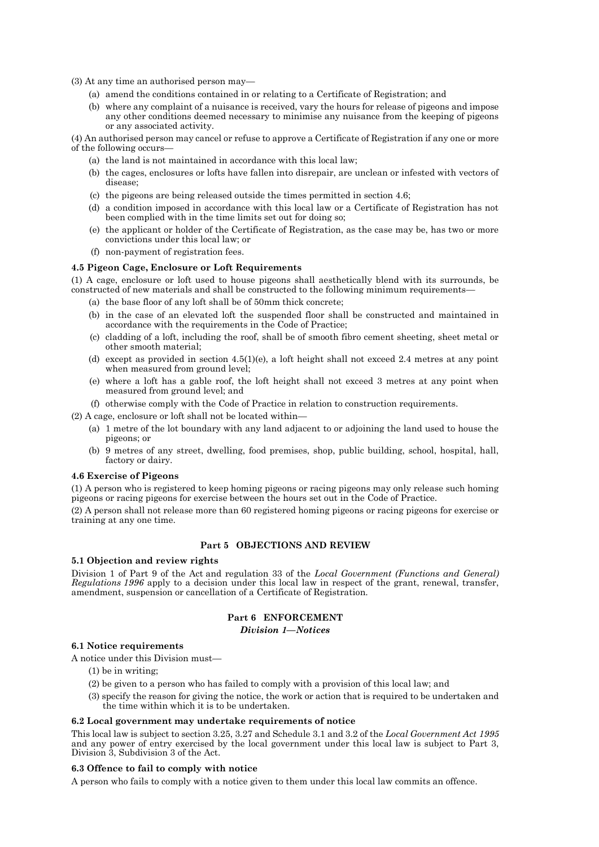(3) At any time an authorised person may—

- (a) amend the conditions contained in or relating to a Certificate of Registration; and
- (b) where any complaint of a nuisance is received, vary the hours for release of pigeons and impose any other conditions deemed necessary to minimise any nuisance from the keeping of pigeons or any associated activity.

(4) An authorised person may cancel or refuse to approve a Certificate of Registration if any one or more of the following occurs—

- (a) the land is not maintained in accordance with this local law;
- (b) the cages, enclosures or lofts have fallen into disrepair, are unclean or infested with vectors of disease;
- (c) the pigeons are being released outside the times permitted in section 4.6;
- (d) a condition imposed in accordance with this local law or a Certificate of Registration has not been complied with in the time limits set out for doing so;
- (e) the applicant or holder of the Certificate of Registration, as the case may be, has two or more convictions under this local law; or
- (f) non-payment of registration fees.

### **4.5 Pigeon Cage, Enclosure or Loft Requirements**

(1) A cage, enclosure or loft used to house pigeons shall aesthetically blend with its surrounds, be constructed of new materials and shall be constructed to the following minimum requirements—

- (a) the base floor of any loft shall be of 50mm thick concrete;
- (b) in the case of an elevated loft the suspended floor shall be constructed and maintained in accordance with the requirements in the Code of Practice;
- (c) cladding of a loft, including the roof, shall be of smooth fibro cement sheeting, sheet metal or other smooth material;
- (d) except as provided in section 4.5(1)(e), a loft height shall not exceed 2.4 metres at any point when measured from ground level;
- (e) where a loft has a gable roof, the loft height shall not exceed 3 metres at any point when measured from ground level; and
- (f) otherwise comply with the Code of Practice in relation to construction requirements.

(2) A cage, enclosure or loft shall not be located within—

- (a) 1 metre of the lot boundary with any land adjacent to or adjoining the land used to house the pigeons; or
- (b) 9 metres of any street, dwelling, food premises, shop, public building, school, hospital, hall, factory or dairy.

### **4.6 Exercise of Pigeons**

(1) A person who is registered to keep homing pigeons or racing pigeons may only release such homing pigeons or racing pigeons for exercise between the hours set out in the Code of Practice.

(2) A person shall not release more than 60 registered homing pigeons or racing pigeons for exercise or training at any one time.

# **Part 5 OBJECTIONS AND REVIEW**

#### **5.1 Objection and review rights**

Division 1 of Part 9 of the Act and regulation 33 of the *Local Government (Functions and General) Regulations 1996* apply to a decision under this local law in respect of the grant, renewal, transfer, amendment, suspension or cancellation of a Certificate of Registration.

### **Part 6 ENFORCEMENT**

#### *Division 1—Notices*

### **6.1 Notice requirements**

A notice under this Division must—

- (1) be in writing;
- (2) be given to a person who has failed to comply with a provision of this local law; and
- (3) specify the reason for giving the notice, the work or action that is required to be undertaken and the time within which it is to be undertaken.

#### **6.2 Local government may undertake requirements of notice**

This local law is subject to section 3.25, 3.27 and Schedule 3.1 and 3.2 of the *Local Government Act 1995* and any power of entry exercised by the local government under this local law is subject to Part 3, Division 3, Subdivision 3 of the Act.

# **6.3 Offence to fail to comply with notice**

A person who fails to comply with a notice given to them under this local law commits an offence.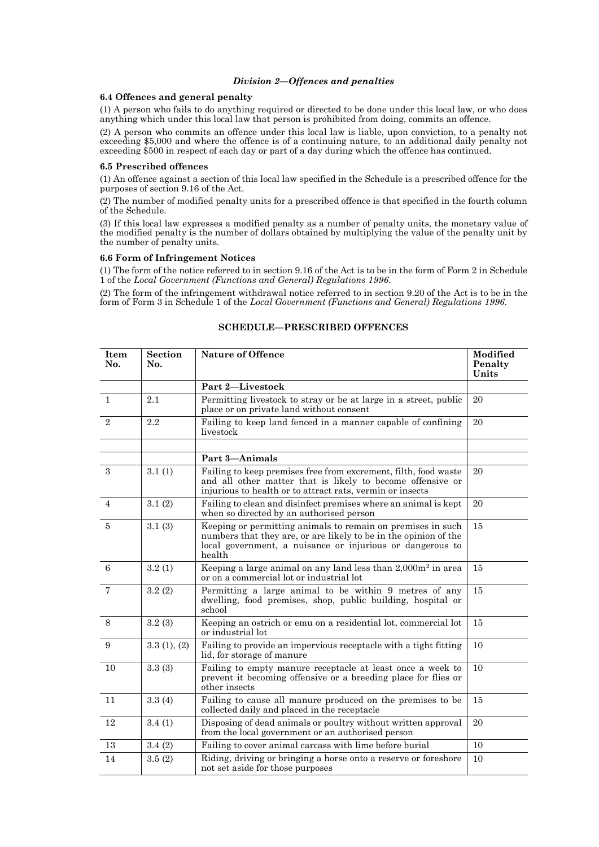### *Division 2—Offences and penalties*

### **6.4 Offences and general penalty**

(1) A person who fails to do anything required or directed to be done under this local law, or who does anything which under this local law that person is prohibited from doing, commits an offence.

(2) A person who commits an offence under this local law is liable, upon conviction, to a penalty not exceeding \$5,000 and where the offence is of a continuing nature, to an additional daily penalty not exceeding \$500 in respect of each day or part of a day during which the offence has continued.

### **6.5 Prescribed offences**

(1) An offence against a section of this local law specified in the Schedule is a prescribed offence for the purposes of section 9.16 of the Act.

(2) The number of modified penalty units for a prescribed offence is that specified in the fourth column of the Schedule.

(3) If this local law expresses a modified penalty as a number of penalty units, the monetary value of the modified penalty is the number of dollars obtained by multiplying the value of the penalty unit by the number of penalty units.

# **6.6 Form of Infringement Notices**

(1) The form of the notice referred to in section 9.16 of the Act is to be in the form of Form 2 in Schedule 1 of the *Local Government (Functions and General) Regulations 1996*.

(2) The form of the infringement withdrawal notice referred to in section 9.20 of the Act is to be in the form of Form 3 in Schedule 1 of the *Local Government (Functions and General) Regulations 1996*.

| Item<br>No.    | <b>Section</b><br>No. | <b>Nature of Offence</b>                                                                                                                                                                               | Modified<br>Penalty<br>Units |
|----------------|-----------------------|--------------------------------------------------------------------------------------------------------------------------------------------------------------------------------------------------------|------------------------------|
|                |                       | Part 2-Livestock                                                                                                                                                                                       |                              |
| $\mathbf{1}$   | 2.1                   | Permitting livestock to stray or be at large in a street, public<br>place or on private land without consent                                                                                           | 20                           |
| $\overline{2}$ | 2.2                   | Failing to keep land fenced in a manner capable of confining<br>livestock                                                                                                                              | 20                           |
|                |                       |                                                                                                                                                                                                        |                              |
|                |                       | Part 3-Animals                                                                                                                                                                                         |                              |
| $\mathcal{S}$  | 3.1(1)                | Failing to keep premises free from excrement, filth, food waste<br>and all other matter that is likely to become offensive or<br>injurious to health or to attract rats, vermin or insects             | 20                           |
| $\overline{4}$ | 3.1(2)                | Failing to clean and disinfect premises where an animal is kept<br>when so directed by an authorised person                                                                                            | 20                           |
| 5              | 3.1(3)                | Keeping or permitting animals to remain on premises in such<br>numbers that they are, or are likely to be in the opinion of the<br>local government, a nuisance or injurious or dangerous to<br>health | 15                           |
| 6              | 3.2(1)                | Keeping a large animal on any land less than $2,000m^2$ in area<br>or on a commercial lot or industrial lot                                                                                            | 15                           |
| $\overline{7}$ | 3.2(2)                | Permitting a large animal to be within 9 metres of any<br>dwelling, food premises, shop, public building, hospital or<br>school                                                                        | 15                           |
| 8              | 3.2(3)                | Keeping an ostrich or emu on a residential lot, commercial lot<br>or industrial lot                                                                                                                    | 15                           |
| 9              | 3.3(1), (2)           | Failing to provide an impervious receptacle with a tight fitting<br>lid, for storage of manure                                                                                                         | 10                           |
| 10             | 3.3(3)                | Failing to empty manure receptacle at least once a week to<br>prevent it becoming offensive or a breeding place for flies or<br>other insects                                                          | 10                           |
| 11             | 3.3(4)                | Failing to cause all manure produced on the premises to be<br>collected daily and placed in the receptacle                                                                                             | 15                           |
| 12             | 3.4(1)                | Disposing of dead animals or poultry without written approval<br>from the local government or an authorised person                                                                                     | 20                           |
| 13             | 3.4(2)                | Failing to cover animal carcass with lime before burial                                                                                                                                                | 10                           |
| 14             | 3.5(2)                | Riding, driving or bringing a horse onto a reserve or foreshore<br>not set aside for those purposes                                                                                                    | 10                           |

# **SCHEDULE—PRESCRIBED OFFENCES**